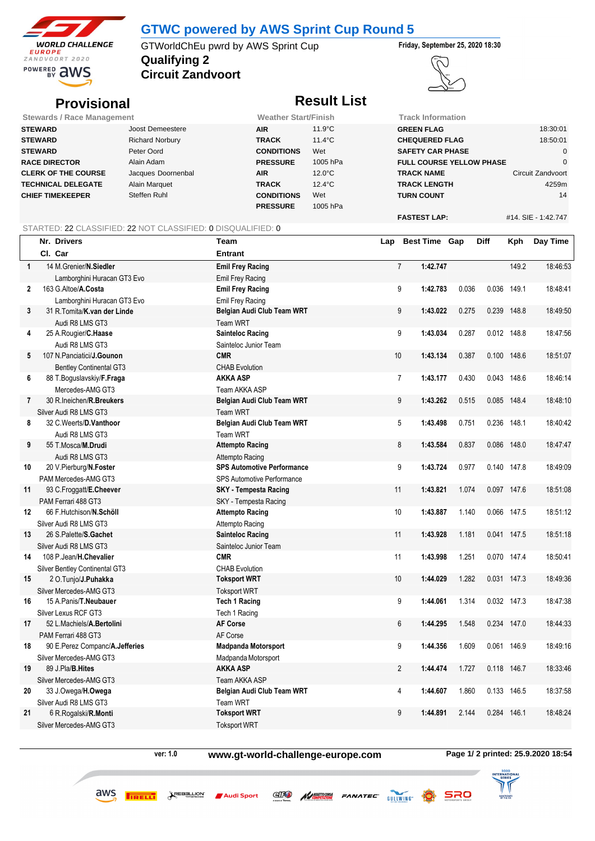

## **GTWC powered by AWS Sprint Cup Round 5**

**Qualifying 2** GTWorldChEu pwrd by AWS Sprint Cup **Friday, September 25, 2020 18:30**

**Circuit Zandvoort**



# **Provisional Result List**

| <b>Stewards / Race Management</b> | <b>Weather Start/Finish</b> |                   | <b>Track Information</b> |                                 |                     |
|-----------------------------------|-----------------------------|-------------------|--------------------------|---------------------------------|---------------------|
| STEWARD                           | Joost Demeestere            | <b>AIR</b>        | 11.9°C                   | <b>GREEN FLAG</b>               | 18:30:01            |
| STEWARD                           | <b>Richard Norbury</b>      | <b>TRACK</b>      | $11.4^{\circ}$ C         | <b>CHEQUERED FLAG</b>           | 18:50:01            |
| STEWARD                           | Peter Oord                  | <b>CONDITIONS</b> | Wet                      | <b>SAFETY CAR PHASE</b>         |                     |
| <b>RACE DIRECTOR</b>              | Alain Adam                  | <b>PRESSURE</b>   | 1005 hPa                 | <b>FULL COURSE YELLOW PHASE</b> |                     |
| <b>CLERK OF THE COURSE</b>        | Jacques Doornenbal          | <b>AIR</b>        | $12.0^{\circ}$ C         | <b>TRACK NAME</b>               | Circuit Zandvoort   |
| <b>TECHNICAL DELEGATE</b>         | Alain Marquet               | <b>TRACK</b>      | $12.4^{\circ}$ C         | <b>TRACK LENGTH</b>             | 4259m               |
| <b>CHIEF TIMEKEEPER</b>           | Steffen Ruhl                | <b>CONDITIONS</b> | Wet                      | <b>TURN COUNT</b>               | 14                  |
|                                   |                             | <b>PRESSURE</b>   | 1005 hPa                 |                                 |                     |
|                                   |                             |                   |                          | <b>FASTEST LAP:</b>             | #14. SIE - 1:42.747 |

### STARTED: 22 CLASSIFIED: 22 NOT CLASSIFIED: 0 DISQUALIFIED: 0

|              | Nr. Drivers                         | Team                              | Lap            | <b>Best Time Gap</b> |       | Diff  | Kph         | Day Time |
|--------------|-------------------------------------|-----------------------------------|----------------|----------------------|-------|-------|-------------|----------|
|              | Cl. Car                             | <b>Entrant</b>                    |                |                      |       |       |             |          |
| $\mathbf{1}$ | 14 M.Grenier/N.Siedler              | <b>Emil Frey Racing</b>           | $\overline{7}$ | 1:42.747             |       |       | 149.2       | 18:46:53 |
|              | Lamborghini Huracan GT3 Evo         | Emil Frey Racing                  |                |                      |       |       |             |          |
| 2            | 163 G.Altoe/A.Costa                 | <b>Emil Frey Racing</b>           | 9              | 1:42.783             | 0.036 |       | 0.036 149.1 | 18:48:41 |
|              | Lamborghini Huracan GT3 Evo         | Emil Frey Racing                  |                |                      |       |       |             |          |
| 3            | 31 R. Tomita/K. van der Linde       | Belgian Audi Club Team WRT        | 9              | 1:43.022             | 0.275 |       | 0.239 148.8 | 18:49:50 |
|              | Audi R8 LMS GT3                     | Team WRT                          |                |                      |       |       |             |          |
| 4            | 25 A.Rougier/C.Haase                | Sainteloc Racing                  | 9              | 1:43.034             | 0.287 |       | 0.012 148.8 | 18:47:56 |
|              | Audi R8 LMS GT3                     | Sainteloc Junior Team             |                |                      |       |       |             |          |
| 5            | 107 N. Panciatici/ <b>J. Gounon</b> | <b>CMR</b>                        | 10             | 1:43.134             | 0.387 | 0.100 | 148.6       | 18:51:07 |
|              | <b>Bentley Continental GT3</b>      | <b>CHAB Evolution</b>             |                |                      |       |       |             |          |
| 6            | 88 T.Boguslavskiy/F.Fraga           | <b>AKKA ASP</b>                   | $\overline{7}$ | 1:43.177             | 0.430 |       | 0.043 148.6 | 18:46:14 |
|              | Mercedes-AMG GT3                    | Team AKKA ASP                     |                |                      |       |       |             |          |
| 7            | 30 R.Ineichen/R.Breukers            | Belgian Audi Club Team WRT        | 9              | 1:43.262             | 0.515 |       | 0.085 148.4 | 18:48:10 |
|              | Silver Audi R8 LMS GT3              | <b>Team WRT</b>                   |                |                      |       |       |             |          |
| 8            | 32 C.Weerts/D.Vanthoor              | Belgian Audi Club Team WRT        | 5              | 1:43.498             | 0.751 |       | 0.236 148.1 | 18:40:42 |
|              | Audi R8 LMS GT3                     | <b>Team WRT</b>                   |                |                      |       |       |             |          |
| 9            | 55 T.Mosca/M.Drudi                  | <b>Attempto Racing</b>            | 8              | 1:43.584             | 0.837 |       | 0.086 148.0 | 18:47:47 |
|              | Audi R8 LMS GT3                     | Attempto Racing                   |                |                      |       |       |             |          |
| 10           | 20 V.Pierburg/N.Foster              | <b>SPS Automotive Performance</b> | 9              | 1:43.724             | 0.977 |       | 0.140 147.8 | 18:49:09 |
|              | PAM Mercedes-AMG GT3                | <b>SPS Automotive Performance</b> |                |                      |       |       |             |          |
| 11           | 93 C.Froggatt/E.Cheever             | <b>SKY</b> - Tempesta Racing      | 11             | 1:43.821             | 1.074 |       | 0.097 147.6 | 18:51:08 |
|              | PAM Ferrari 488 GT3                 | SKY - Tempesta Racing             |                |                      |       |       |             |          |
| 12           | 66 F.Hutchison/N.Schöll             | <b>Attempto Racing</b>            | 10             | 1:43.887             | 1.140 |       | 0.066 147.5 | 18:51:12 |
|              | Silver Audi R8 LMS GT3              | Attempto Racing                   |                |                      |       |       |             |          |
| 13           | 26 S.Palette/S.Gachet               | <b>Sainteloc Racing</b>           | 11             | 1:43.928             | 1.181 |       | 0.041 147.5 | 18:51:18 |
|              | Silver Audi R8 LMS GT3              | Sainteloc Junior Team             |                |                      |       |       |             |          |
| 14           | 108 P.Jean/H.Chevalier              | <b>CMR</b>                        | 11             | 1:43.998             | 1.251 |       | 0.070 147.4 | 18:50:41 |
|              | Silver Bentley Continental GT3      | <b>CHAB Evolution</b>             |                |                      |       |       |             |          |
| 15           | 2 O.Tunjo/J.Puhakka                 | <b>Toksport WRT</b>               | 10             | 1:44.029             | 1.282 | 0.031 | 147.3       | 18:49:36 |
|              | Silver Mercedes-AMG GT3             | <b>Toksport WRT</b>               |                |                      |       |       |             |          |
| 16           | 15 A. Panis/T. Neubauer             | <b>Tech 1 Racing</b>              | 9              | 1:44.061             | 1.314 |       | 0.032 147.3 | 18:47:38 |
|              | Silver Lexus RCF GT3                | Tech 1 Racing                     |                |                      |       |       |             |          |
| 17           | 52 L.Machiels/A.Bertolini           | <b>AF Corse</b>                   | $6\phantom{1}$ | 1:44.295             | 1.548 |       | 0.234 147.0 | 18:44:33 |
|              | PAM Ferrari 488 GT3                 | AF Corse                          |                |                      |       |       |             |          |
| 18           | 90 E.Perez Companc/A.Jefferies      | <b>Madpanda Motorsport</b>        | 9              | 1:44.356             | 1.609 | 0.061 | 146.9       | 18:49:16 |
|              | Silver Mercedes-AMG GT3             | Madpanda Motorsport               |                |                      |       |       |             |          |
| 19           | 89 J.Pla/B.Hites                    | <b>AKKA ASP</b>                   | $\overline{2}$ | 1:44.474             | 1.727 |       | 0.118 146.7 | 18:33:46 |
|              | Silver Mercedes-AMG GT3             | Team AKKA ASP                     |                |                      |       |       |             |          |
| 20           | 33 J.Owega/H.Owega                  | Belgian Audi Club Team WRT        | 4              | 1:44.607             | 1.860 |       | 0.133 146.5 | 18:37:58 |
|              | Silver Audi R8 LMS GT3              | <b>Team WRT</b>                   |                |                      |       |       |             |          |
| 21           | 6 R.Rogalski/R.Monti                | <b>Toksport WRT</b>               | 9              | 1:44.891             | 2.144 | 0.284 | 146.1       | 18:48:24 |
|              | Silver Mercedes-AMG GT3             | <b>Toksport WRT</b>               |                |                      |       |       |             |          |

 $\begin{minipage}{0.9\linewidth} \begin{tabular}{@{}c@{}} \quad \quad & \quad \quad & \quad \quad & \quad \quad \\ \quad \quad & \quad \quad & \quad \quad \\ \quad \quad & \quad \quad & \quad \quad \\ \quad \quad & \quad \quad & \quad \quad \\ \quad \quad & \quad \quad & \quad \quad \\ \quad \quad & \quad \quad & \quad \quad \\ \quad \quad & \quad \quad & \quad \quad \\ \quad \quad & \quad \quad & \quad \quad \\ \quad \quad & \quad \quad & \quad \quad \\ \quad \quad & \quad \quad & \quad \quad \\ \quad \quad & \quad \quad & \quad \quad \\ \quad \quad & \quad \quad & \quad \quad \\ \quad \quad & \quad \quad &$ 

aws

**ver: 1.0 www.gt-world-challenge-europe.com Page 1/ 2 printed: 25.9.2020 18:54**

**AVASSETTOCORE FANATEC** 

 $\text{C}$ 

Audi Sport



 $SRO$ 

GULLWING Q